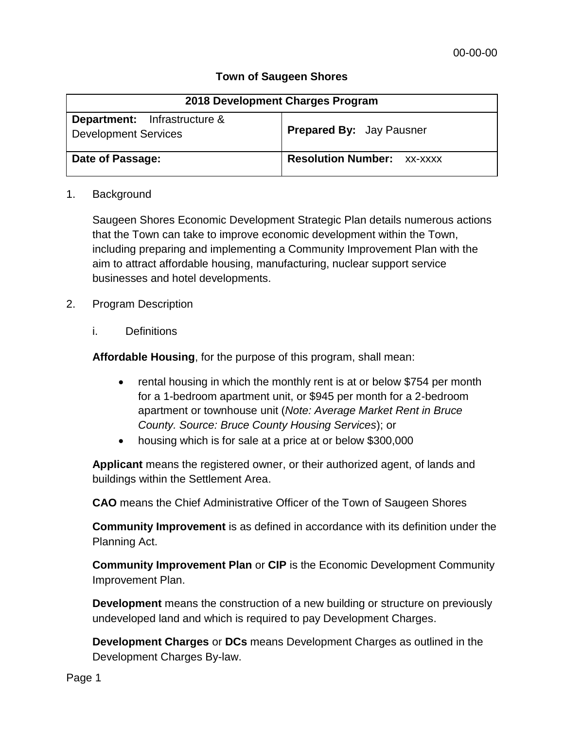## **Town of Saugeen Shores**

| 2018 Development Charges Program                                   |                                   |
|--------------------------------------------------------------------|-----------------------------------|
| <b>Department:</b> Infrastructure &<br><b>Development Services</b> | <b>Prepared By: Jay Pausner</b>   |
| Date of Passage:                                                   | <b>Resolution Number: XX-XXXX</b> |

#### 1. Background

Saugeen Shores Economic Development Strategic Plan details numerous actions that the Town can take to improve economic development within the Town, including preparing and implementing a Community Improvement Plan with the aim to attract affordable housing, manufacturing, nuclear support service businesses and hotel developments.

### 2. Program Description

i. Definitions

**Affordable Housing**, for the purpose of this program, shall mean:

- rental housing in which the monthly rent is at or below \$754 per month for a 1-bedroom apartment unit, or \$945 per month for a 2-bedroom apartment or townhouse unit (*Note: Average Market Rent in Bruce County. Source: Bruce County Housing Services*); or
- housing which is for sale at a price at or below \$300,000

**Applicant** means the registered owner, or their authorized agent, of lands and buildings within the Settlement Area.

**CAO** means the Chief Administrative Officer of the Town of Saugeen Shores

**Community Improvement** is as defined in accordance with its definition under the Planning Act.

**Community Improvement Plan** or **CIP** is the Economic Development Community Improvement Plan.

**Development** means the construction of a new building or structure on previously undeveloped land and which is required to pay Development Charges.

**Development Charges** or **DCs** means Development Charges as outlined in the Development Charges By-law.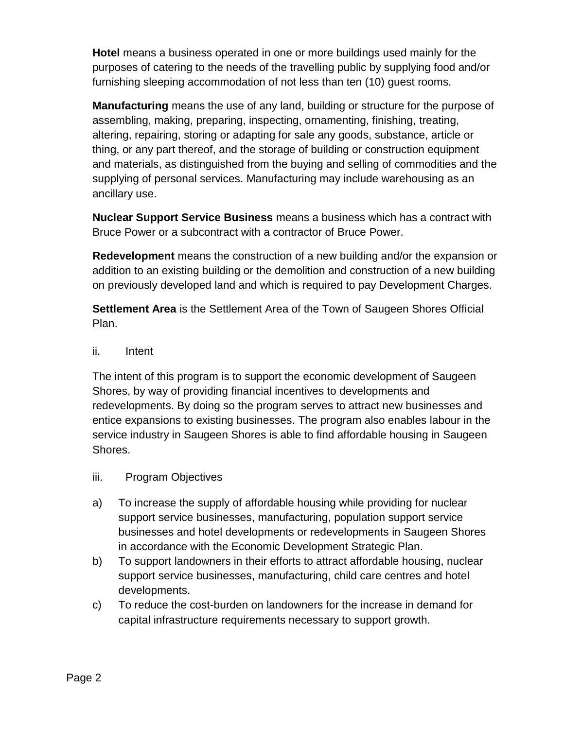**Hotel** means a business operated in one or more buildings used mainly for the purposes of catering to the needs of the travelling public by supplying food and/or furnishing sleeping accommodation of not less than ten (10) guest rooms.

**Manufacturing** means the use of any land, building or structure for the purpose of assembling, making, preparing, inspecting, ornamenting, finishing, treating, altering, repairing, storing or adapting for sale any goods, substance, article or thing, or any part thereof, and the storage of building or construction equipment and materials, as distinguished from the buying and selling of commodities and the supplying of personal services. Manufacturing may include warehousing as an ancillary use.

**Nuclear Support Service Business** means a business which has a contract with Bruce Power or a subcontract with a contractor of Bruce Power.

**Redevelopment** means the construction of a new building and/or the expansion or addition to an existing building or the demolition and construction of a new building on previously developed land and which is required to pay Development Charges.

**Settlement Area** is the Settlement Area of the Town of Saugeen Shores Official Plan.

ii. Intent

The intent of this program is to support the economic development of Saugeen Shores, by way of providing financial incentives to developments and redevelopments. By doing so the program serves to attract new businesses and entice expansions to existing businesses. The program also enables labour in the service industry in Saugeen Shores is able to find affordable housing in Saugeen Shores.

- iii. Program Objectives
- a) To increase the supply of affordable housing while providing for nuclear support service businesses, manufacturing, population support service businesses and hotel developments or redevelopments in Saugeen Shores in accordance with the Economic Development Strategic Plan.
- b) To support landowners in their efforts to attract affordable housing, nuclear support service businesses, manufacturing, child care centres and hotel developments.
- c) To reduce the cost-burden on landowners for the increase in demand for capital infrastructure requirements necessary to support growth.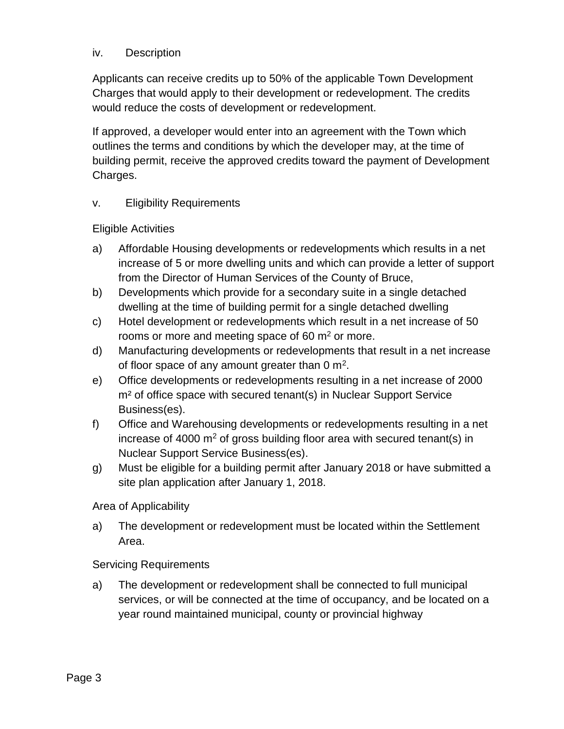## iv. Description

Applicants can receive credits up to 50% of the applicable Town Development Charges that would apply to their development or redevelopment. The credits would reduce the costs of development or redevelopment.

If approved, a developer would enter into an agreement with the Town which outlines the terms and conditions by which the developer may, at the time of building permit, receive the approved credits toward the payment of Development Charges.

## v. Eligibility Requirements

### Eligible Activities

- a) Affordable Housing developments or redevelopments which results in a net increase of 5 or more dwelling units and which can provide a letter of support from the Director of Human Services of the County of Bruce,
- b) Developments which provide for a secondary suite in a single detached dwelling at the time of building permit for a single detached dwelling
- c) Hotel development or redevelopments which result in a net increase of 50 rooms or more and meeting space of 60  $\mathrm{m}^2$  or more.
- d) Manufacturing developments or redevelopments that result in a net increase of floor space of any amount greater than 0  $m^2$ .
- e) Office developments or redevelopments resulting in a net increase of 2000 m<sup>2</sup> of office space with secured tenant(s) in Nuclear Support Service Business(es).
- f) Office and Warehousing developments or redevelopments resulting in a net increase of 4000  $m^2$  of gross building floor area with secured tenant(s) in Nuclear Support Service Business(es).
- g) Must be eligible for a building permit after January 2018 or have submitted a site plan application after January 1, 2018.

### Area of Applicability

a) The development or redevelopment must be located within the Settlement Area.

### Servicing Requirements

a) The development or redevelopment shall be connected to full municipal services, or will be connected at the time of occupancy, and be located on a year round maintained municipal, county or provincial highway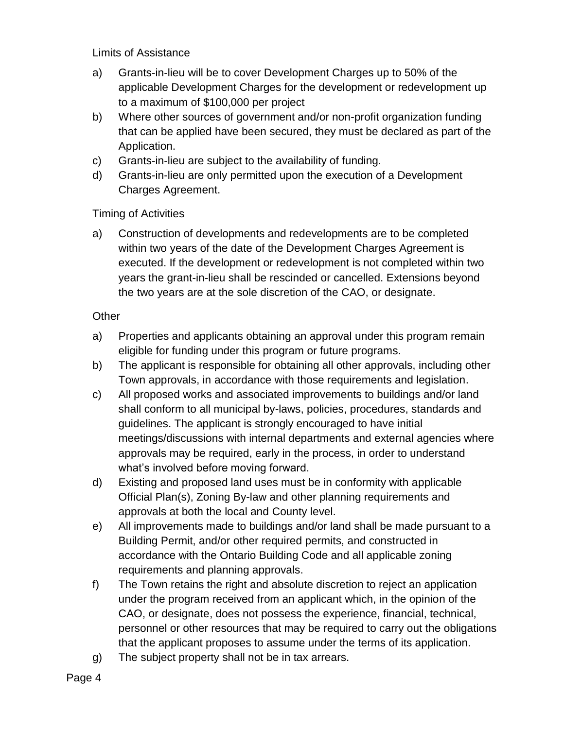Limits of Assistance

- a) Grants-in-lieu will be to cover Development Charges up to 50% of the applicable Development Charges for the development or redevelopment up to a maximum of \$100,000 per project
- b) Where other sources of government and/or non-profit organization funding that can be applied have been secured, they must be declared as part of the Application.
- c) Grants-in-lieu are subject to the availability of funding.
- d) Grants-in-lieu are only permitted upon the execution of a Development Charges Agreement.

## Timing of Activities

a) Construction of developments and redevelopments are to be completed within two years of the date of the Development Charges Agreement is executed. If the development or redevelopment is not completed within two years the grant-in-lieu shall be rescinded or cancelled. Extensions beyond the two years are at the sole discretion of the CAO, or designate.

## **Other**

- a) Properties and applicants obtaining an approval under this program remain eligible for funding under this program or future programs.
- b) The applicant is responsible for obtaining all other approvals, including other Town approvals, in accordance with those requirements and legislation.
- c) All proposed works and associated improvements to buildings and/or land shall conform to all municipal by-laws, policies, procedures, standards and guidelines. The applicant is strongly encouraged to have initial meetings/discussions with internal departments and external agencies where approvals may be required, early in the process, in order to understand what's involved before moving forward.
- d) Existing and proposed land uses must be in conformity with applicable Official Plan(s), Zoning By-law and other planning requirements and approvals at both the local and County level.
- e) All improvements made to buildings and/or land shall be made pursuant to a Building Permit, and/or other required permits, and constructed in accordance with the Ontario Building Code and all applicable zoning requirements and planning approvals.
- f) The Town retains the right and absolute discretion to reject an application under the program received from an applicant which, in the opinion of the CAO, or designate, does not possess the experience, financial, technical, personnel or other resources that may be required to carry out the obligations that the applicant proposes to assume under the terms of its application.
- g) The subject property shall not be in tax arrears.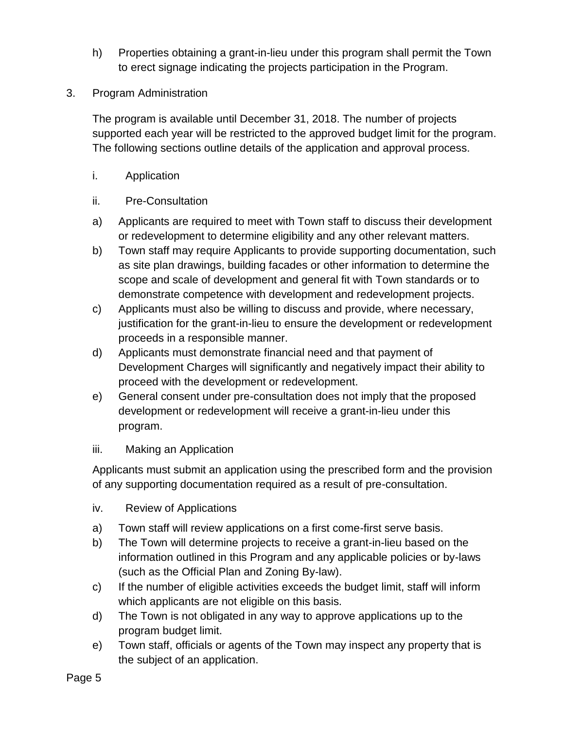- h) Properties obtaining a grant-in-lieu under this program shall permit the Town to erect signage indicating the projects participation in the Program.
- 3. Program Administration

The program is available until December 31, 2018. The number of projects supported each year will be restricted to the approved budget limit for the program. The following sections outline details of the application and approval process.

- i. Application
- ii. Pre-Consultation
- a) Applicants are required to meet with Town staff to discuss their development or redevelopment to determine eligibility and any other relevant matters.
- b) Town staff may require Applicants to provide supporting documentation, such as site plan drawings, building facades or other information to determine the scope and scale of development and general fit with Town standards or to demonstrate competence with development and redevelopment projects.
- c) Applicants must also be willing to discuss and provide, where necessary, justification for the grant-in-lieu to ensure the development or redevelopment proceeds in a responsible manner.
- d) Applicants must demonstrate financial need and that payment of Development Charges will significantly and negatively impact their ability to proceed with the development or redevelopment.
- e) General consent under pre-consultation does not imply that the proposed development or redevelopment will receive a grant-in-lieu under this program.

### iii. Making an Application

Applicants must submit an application using the prescribed form and the provision of any supporting documentation required as a result of pre-consultation.

- iv. Review of Applications
- a) Town staff will review applications on a first come-first serve basis.
- b) The Town will determine projects to receive a grant-in-lieu based on the information outlined in this Program and any applicable policies or by-laws (such as the Official Plan and Zoning By-law).
- c) If the number of eligible activities exceeds the budget limit, staff will inform which applicants are not eligible on this basis.
- d) The Town is not obligated in any way to approve applications up to the program budget limit.
- e) Town staff, officials or agents of the Town may inspect any property that is the subject of an application.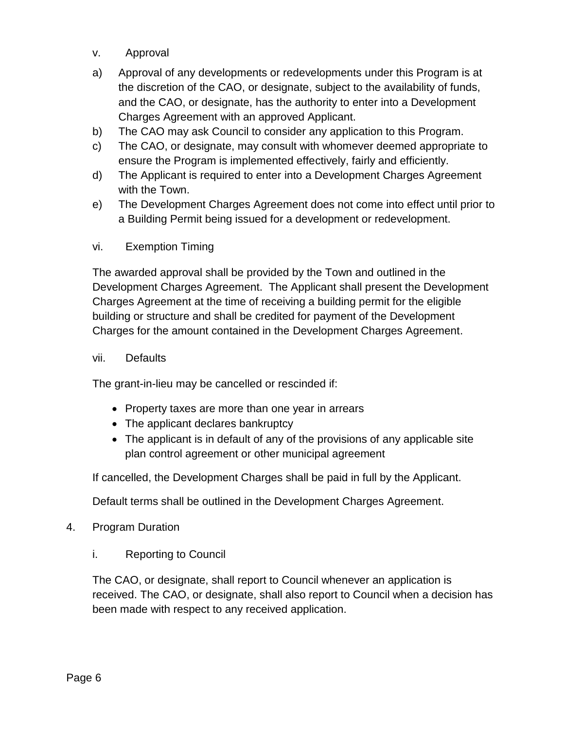- v. Approval
- a) Approval of any developments or redevelopments under this Program is at the discretion of the CAO, or designate, subject to the availability of funds, and the CAO, or designate, has the authority to enter into a Development Charges Agreement with an approved Applicant.
- b) The CAO may ask Council to consider any application to this Program.
- c) The CAO, or designate, may consult with whomever deemed appropriate to ensure the Program is implemented effectively, fairly and efficiently.
- d) The Applicant is required to enter into a Development Charges Agreement with the Town.
- e) The Development Charges Agreement does not come into effect until prior to a Building Permit being issued for a development or redevelopment.

## vi. Exemption Timing

The awarded approval shall be provided by the Town and outlined in the Development Charges Agreement. The Applicant shall present the Development Charges Agreement at the time of receiving a building permit for the eligible building or structure and shall be credited for payment of the Development Charges for the amount contained in the Development Charges Agreement.

### vii. Defaults

The grant-in-lieu may be cancelled or rescinded if:

- Property taxes are more than one year in arrears
- The applicant declares bankruptcy
- The applicant is in default of any of the provisions of any applicable site plan control agreement or other municipal agreement

If cancelled, the Development Charges shall be paid in full by the Applicant.

Default terms shall be outlined in the Development Charges Agreement.

### 4. Program Duration

i. Reporting to Council

The CAO, or designate, shall report to Council whenever an application is received. The CAO, or designate, shall also report to Council when a decision has been made with respect to any received application.